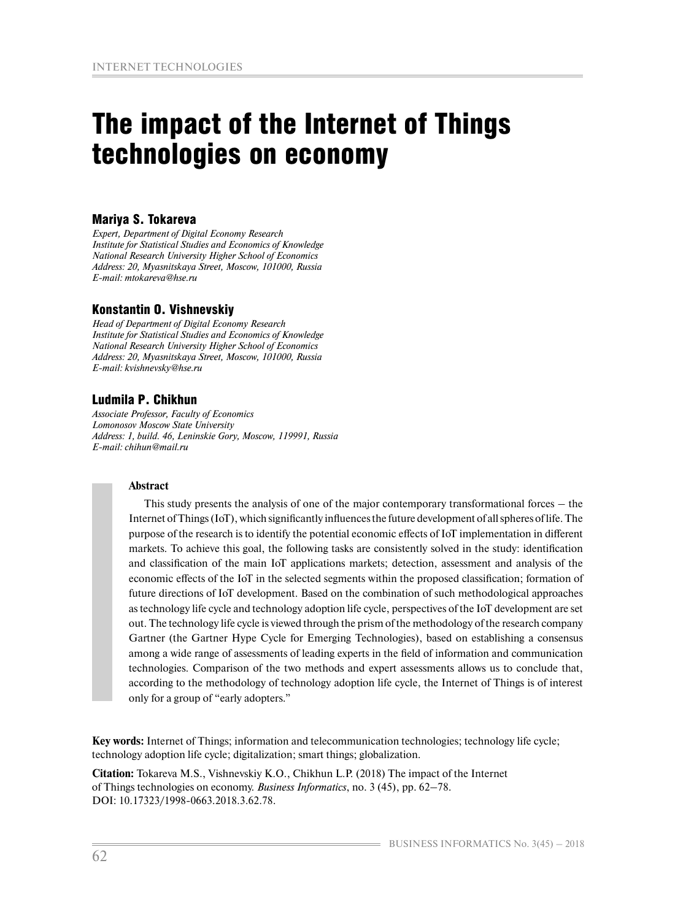# The impact of the Internet of Things technologies on economy

#### Mariya S. Tokareva

*Expert, Department of Digital Economy Research Institute for Statistical Studies and Economics of Knowledge National Research University Higher School of Economics Address: 20, Myasnitskaya Street, Moscow, 101000, Russia E-mail: mtokareva@hse.ru*

#### Konstantin O. Vishnevskiy

*Head of Department of Digital Economy Research Institute for Statistical Studies and Economics of Knowledge National Research University Higher School of Economics Address: 20, Myasnitskaya Street, Moscow, 101000, Russia E-mail: kvishnevsky@hse.ru*

#### Ludmila P. Chikhun

*Associate Professor, Faculty of Economics Lomonosov Moscow State University Address: 1, build. 46, Leninskie Gory, Moscow, 119991, Russia E-mail: chihun@mail.ru* 

#### **Аbstract**

This study presents the analysis of one of the major contemporary transformational forces – the Internet of Things (IoT), which significantly influences the future development of all spheres of life. The purpose of the research is to identify the potential economic effects of IoT implementation in different markets. To achieve this goal, the following tasks are consistently solved in the study: identification and classification of the main IoT applications markets; detection, assessment and analysis of the economic effects of the IoT in the selected segments within the proposed classification; formation of future directions of IoT development. Based on the combination of such methodological approaches as technology life cycle and technology adoption life cycle, perspectives of the IoT development are set out. The technology life cycle is viewed through the prism of the methodology of the research company Gartner (the Gartner Hype Cycle for Emerging Technologies), based on establishing a consensus among a wide range of assessments of leading experts in the field of information and communication technologies. Comparison of the two methods and expert assessments allows us to conclude that, according to the methodology of technology adoption life cycle, the Internet of Things is of interest only for a group of "early adopters."

**Key words:** Internet of Things; information and telecommunication technologies; technology life cycle; technology adoption life cycle; digitalization; smart things; globalization.

**Citation:** Tokareva M.S., Vishnevskiy K.O., Chikhun L.P. (2018) The impact of the Internet of Things technologies on economy. *Business Informatics*, no. 3 (45), pp. 62–78. DOI: 10.17323/1998-0663.2018.3.62.78.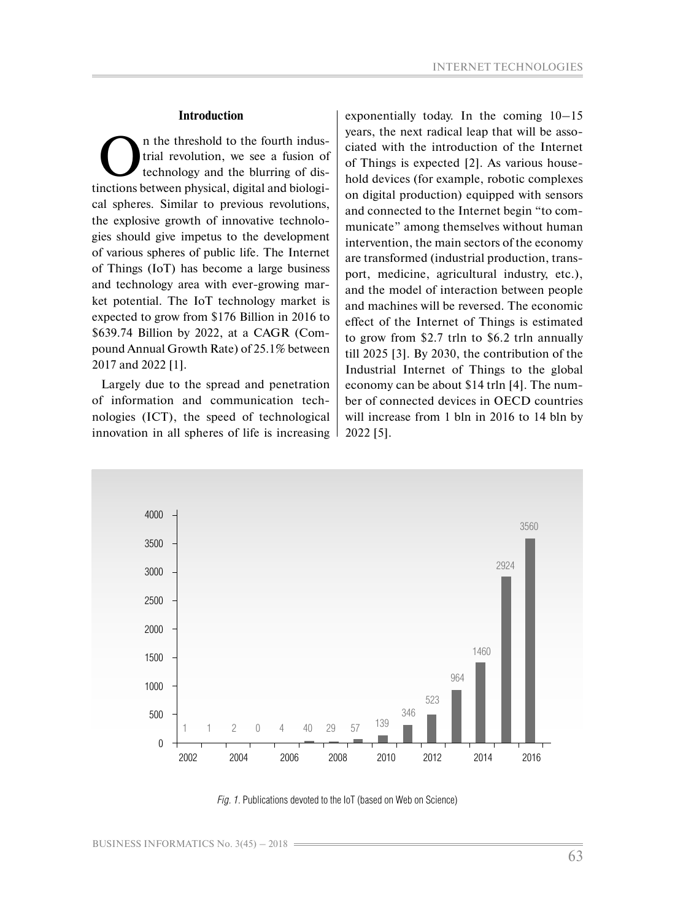#### **Introduction**

The threshold to the fourth indus-<br>trial revolution, we see a fusion of<br>technology and the blurring of dis-<br>inctions between physical digital and biologi trial revolution, we see a fusion of technology and the blurring of distinctions between physical, digital and biological spheres. Similar to previous revolutions, the explosive growth of innovative technologies should give impetus to the development of various spheres of public life. The Internet of Things (IoT) has become a large business and technology area with ever-growing market potential. The IoT technology market is expected to grow from \$176 Billion in 2016 to \$639.74 Billion by 2022, at a CAGR (Compound Annual Growth Rate) of 25.1% between 2017 and 2022 [1].

Largely due to the spread and penetration of information and communication technologies (ICT), the speed of technological innovation in all spheres of life is increasing

exponentially today. In the coming 10–15 years, the next radical leap that will be associated with the introduction of the Internet of Things is expected [2]. As various household devices (for example, robotic complexes on digital production) equipped with sensors and connected to the Internet begin "to communicate" among themselves without human intervention, the main sectors of the economy are transformed (industrial production, transport, medicine, agricultural industry, etc.), and the model of interaction between people and machines will be reversed. The economic effect of the Internet of Things is estimated to grow from \$2.7 trln to \$6.2 trln annually till 2025 [3]. By 2030, the contribution of the Industrial Internet of Things to the global economy can be about \$14 trln [4]. The number of connected devices in OECD countries will increase from 1 bln in 2016 to 14 bln by 2022 [5].



*Fig. 1*. Publications devoted to the IoT (based on Web on Science)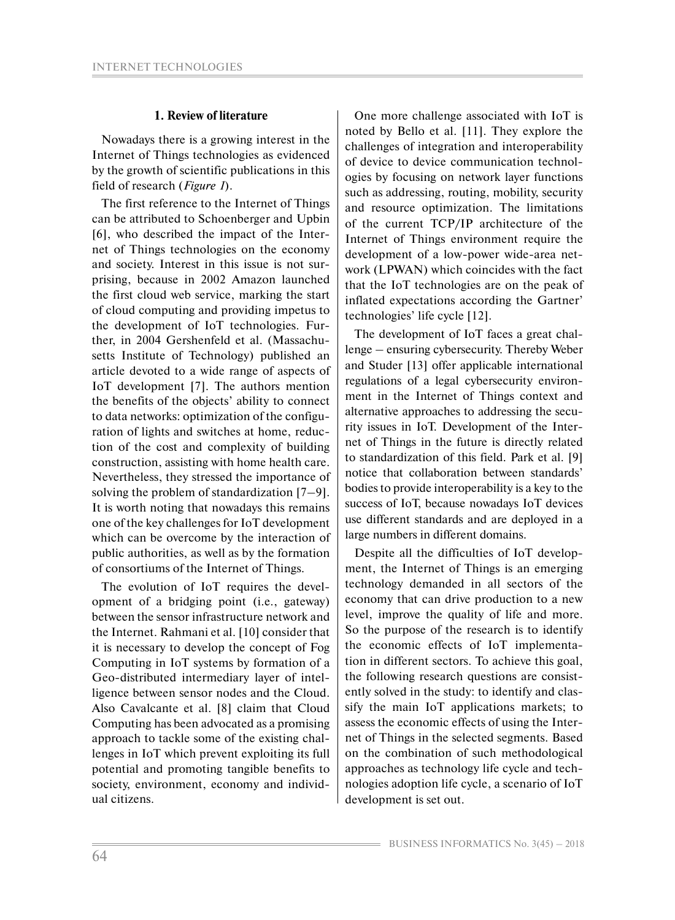#### **1. Review of literature**

Nowadays there is a growing interest in the Internet of Things technologies as evidenced by the growth of scientific publications in this field of research (*Figure 1*).

The first reference to the Internet of Things can be attributed to Schoenberger and Upbin [6], who described the impact of the Internet of Things technologies on the economy and society. Interest in this issue is not surprising, because in 2002 Amazon launched the first cloud web service, marking the start of cloud computing and providing impetus to the development of IoT technologies. Further, in 2004 Gershenfeld et al. (Massachusetts Institute of Technology) published an article devoted to a wide range of aspects of IoT development [7]. The authors mention the benefits of the objects' ability to connect to data networks: optimization of the configuration of lights and switches at home, reduction of the cost and complexity of building construction, assisting with home health care. Nevertheless, they stressed the importance of solving the problem of standardization [7–9]. It is worth noting that nowadays this remains one of the key challenges for IoT development which can be overcome by the interaction of public authorities, as well as by the formation of consortiums of the Internet of Things.

The evolution of IoT requires the development of a bridging point (i.e., gateway) between the sensor infrastructure network and the Internet. Rahmani et al. [10] consider that it is necessary to develop the concept of Fog Computing in IoT systems by formation of a Geo-distributed intermediary layer of intelligence between sensor nodes and the Cloud. Also Cavalcante et al. [8] claim that Cloud Computing has been advocated as a promising approach to tackle some of the existing challenges in IoT which prevent exploiting its full potential and promoting tangible benefits to society, environment, economy and individual citizens.

One more challenge associated with IoT is noted by Bello et al. [11]. They explore the challenges of integration and interoperability of device to device communication technologies by focusing on network layer functions such as addressing, routing, mobility, security and resource optimization. The limitations of the current TCP/IP architecture of the Internet of Things environment require the development of a low-power wide-area network (LPWAN) which coincides with the fact that the IoT technologies are on the peak of inflated expectations according the Gartner' technologies' life cycle [12].

The development of IoT faces a great challenge – ensuring cybersecurity. Thereby Weber and Studer [13] offer applicable international regulations of a legal cybersecurity environment in the Internet of Things context and alternative approaches to addressing the security issues in IoT. Development of the Internet of Things in the future is directly related to standardization of this field. Park et al. [9] notice that collaboration between standards' bodies to provide interoperability is a key to the success of IoT, because nowadays IoT devices use different standards and are deployed in a large numbers in different domains.

Despite all the difficulties of IoT development, the Internet of Things is an emerging technology demanded in all sectors of the economy that can drive production to a new level, improve the quality of life and more. So the purpose of the research is to identify the economic effects of IoT implementation in different sectors. To achieve this goal, the following research questions are consistently solved in the study: to identify and classify the main IoT applications markets; to assess the economic effects of using the Internet of Things in the selected segments. Based on the combination of such methodological approaches as technology life cycle and technologies adoption life cycle, a scenario of IoT development is set out.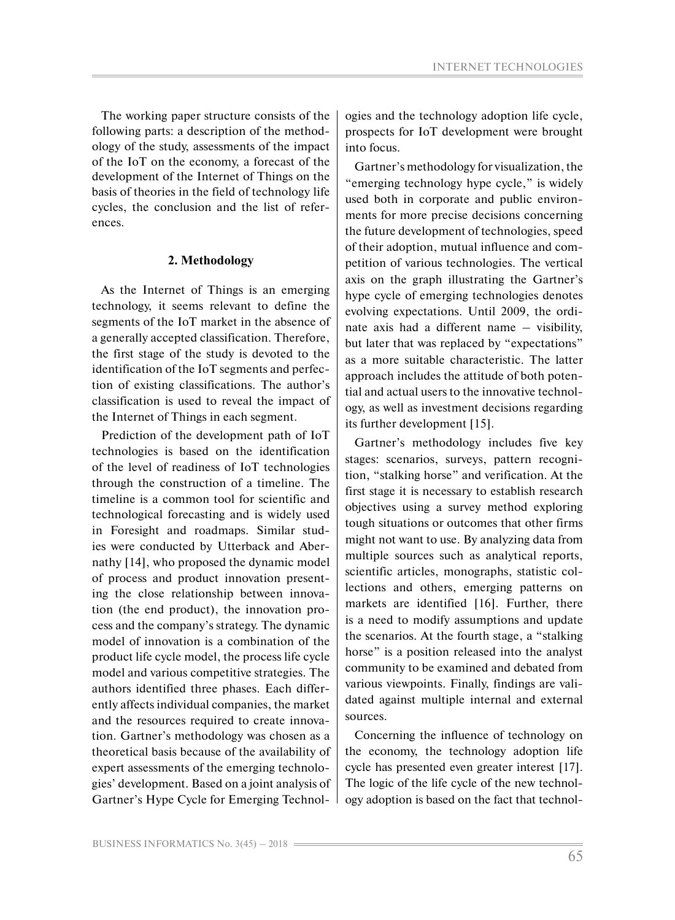The working paper structure consists of the following parts: a description of the methodology of the study, assessments of the impact of the IoT on the economy, a forecast of the development of the Internet of Things on the basis of theories in the field of technology life cycles, the conclusion and the list of references.

# **2. Methodology**

As the Internet of Things is an emerging technology, it seems relevant to define the segments of the IoT market in the absence of a generally accepted classification. Therefore, the first stage of the study is devoted to the identification of the IoT segments and perfection of existing classifications. The author's classification is used to reveal the impact of the Internet of Things in each segment.

Prediction of the development path of IoT technologies is based on the identification of the level of readiness of IoT technologies through the construction of a timeline. The timeline is a common tool for scientific and technological forecasting and is widely used in Foresight and roadmaps. Similar studies were conducted by Utterback and Abernathy [14], who proposed the dynamic model of process and product innovation presenting the close relationship between innovation (the end product), the innovation process and the company's strategy. The dynamic model of innovation is a combination of the product life cycle model, the process life cycle model and various competitive strategies. The authors identified three phases. Each differently affects individual companies, the market and the resources required to create innovation. Gartner's methodology was chosen as a theoretical basis because of the availability of expert assessments of the emerging technologies' development. Based on a joint analysis of Gartner's Hype Cycle for Emerging Technologies and the technology adoption life cycle, prospects for IoT development were brought into focus.

Gartner's methodology for visualization, the "emerging technology hype cycle," is widely used both in corporate and public environments for more precise decisions concerning the future development of technologies, speed of their adoption, mutual influence and competition of various technologies. The vertical axis on the graph illustrating the Gartner's hype cycle of emerging technologies denotes evolving expectations. Until 2009, the ordinate axis had a different name – visibility, but later that was replaced by "expectations" as a more suitable characteristic. The latter approach includes the attitude of both potential and actual users to the innovative technology, as well as investment decisions regarding its further development [15].

Gartner's methodology includes five key stages: scenarios, surveys, pattern recognition, "stalking horse" and verification. At the first stage it is necessary to establish research objectives using a survey method exploring tough situations or outcomes that other firms might not want to use. By analyzing data from multiple sources such as analytical reports, scientific articles, monographs, statistic collections and others, emerging patterns on markets are identified [16]. Further, there is a need to modify assumptions and update the scenarios. At the fourth stage, a "stalking horse" is a position released into the analyst community to be examined and debated from various viewpoints. Finally, findings are validated against multiple internal and external sources.

Concerning the influence of technology on the economy, the technology adoption life cycle has presented even greater interest [17]. The logic of the life cycle of the new technology adoption is based on the fact that technol-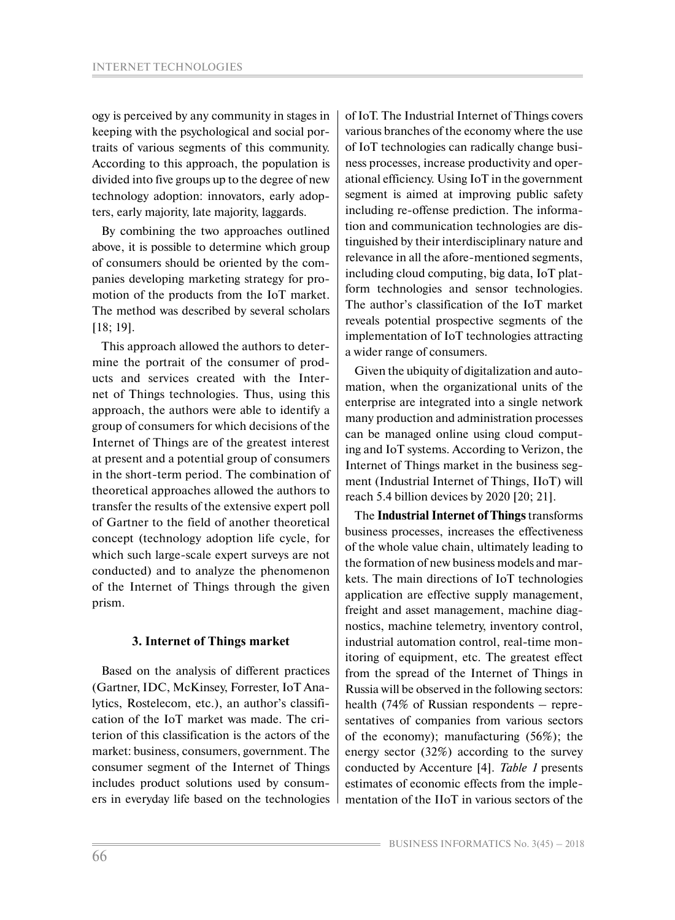ogy is perceived by any community in stages in keeping with the psychological and social portraits of various segments of this community. According to this approach, the population is divided into five groups up to the degree of new technology adoption: innovators, early adopters, early majority, late majority, laggards.

By combining the two approaches outlined above, it is possible to determine which group of consumers should be oriented by the companies developing marketing strategy for promotion of the products from the IoT market. The method was described by several scholars [18; 19].

This approach allowed the authors to determine the portrait of the consumer of products and services created with the Internet of Things technologies. Thus, using this approach, the authors were able to identify a group of consumers for which decisions of the Internet of Things are of the greatest interest at present and a potential group of consumers in the short-term period. The combination of theoretical approaches allowed the authors to transfer the results of the extensive expert poll of Gartner to the field of another theoretical concept (technology adoption life cycle, for which such large-scale expert surveys are not conducted) and to analyze the phenomenon of the Internet of Things through the given prism.

#### **3. Internet of Things market**

Based on the analysis of different practices (Gartner, IDC, McKinsey, Forrester, IoT Analytics, Rostelecom, etc.), an author's classification of the IoT market was made. The criterion of this classification is the actors of the market: business, consumers, government. The consumer segment of the Internet of Things includes product solutions used by consumers in everyday life based on the technologies of IoT. The Industrial Internet of Things covers various branches of the economy where the use of IoT technologies can radically change business processes, increase productivity and operational efficiency. Using IoT in the government segment is aimed at improving public safety including re-offense prediction. The information and communication technologies are distinguished by their interdisciplinary nature and relevance in all the afore-mentioned segments, including cloud computing, big data, IoT platform technologies and sensor technologies. The author's classification of the IоT market reveals potential prospective segments of the implementation of IoT technologies attracting a wider range of consumers.

Given the ubiquity of digitalization and automation, when the organizational units of the enterprise are integrated into a single network many production and administration processes can be managed online using cloud computing and IoT systems. According to Verizon, the Internet of Things market in the business segment (Industrial Internet of Things, IIoT) will reach 5.4 billion devices by 2020 [20; 21].

The **Industrial Internet of Things** transforms business processes, increases the effectiveness of the whole value chain, ultimately leading to the formation of new business models and markets. The main directions of IoT technologies application are effective supply management, freight and asset management, machine diagnostics, machine telemetry, inventory control, industrial automation control, real-time monitoring of equipment, etc. The greatest effect from the spread of the Internet of Things in Russia will be observed in the following sectors: health (74% of Russian respondents – representatives of companies from various sectors of the economy); manufacturing (56%); the energy sector (32%) according to the survey conducted by Accenture [4]. *Table 1* presents estimates of economic effects from the implementation of the IIoT in various sectors of the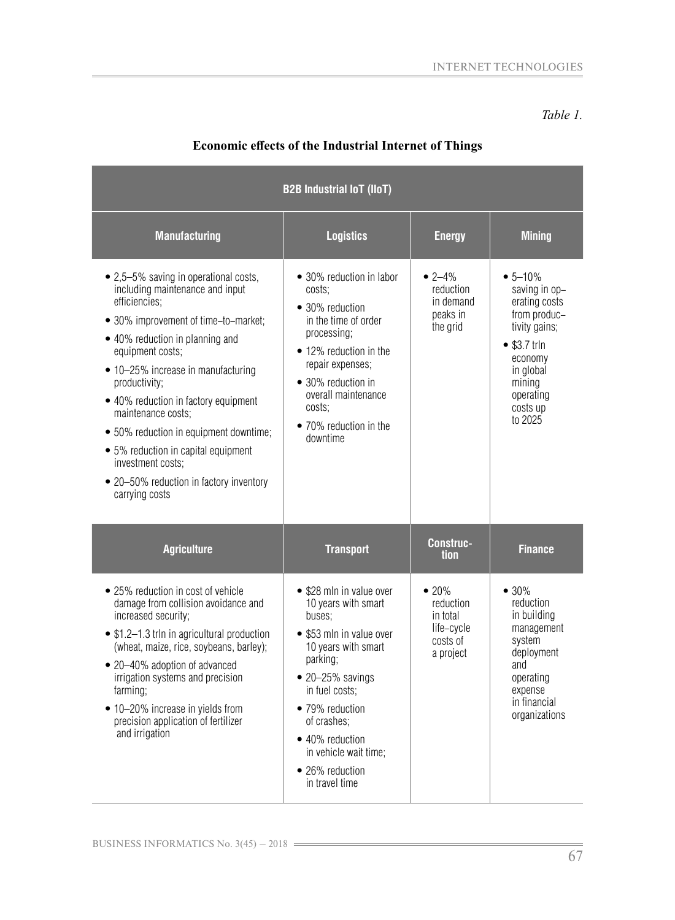#### *Table 1.*

| <b>B2B Industrial IoT (IIoT)</b>                                                                                                                                                                                                                                                                                                                                                                                                                                                 |                                                                                                                                                                                                                                                                                           |                                                                      |                                                                                                                                                                        |  |
|----------------------------------------------------------------------------------------------------------------------------------------------------------------------------------------------------------------------------------------------------------------------------------------------------------------------------------------------------------------------------------------------------------------------------------------------------------------------------------|-------------------------------------------------------------------------------------------------------------------------------------------------------------------------------------------------------------------------------------------------------------------------------------------|----------------------------------------------------------------------|------------------------------------------------------------------------------------------------------------------------------------------------------------------------|--|
| <b>Manufacturing</b>                                                                                                                                                                                                                                                                                                                                                                                                                                                             | <b>Logistics</b>                                                                                                                                                                                                                                                                          | <b>Energy</b>                                                        | <b>Mining</b>                                                                                                                                                          |  |
| • 2,5–5% saving in operational costs,<br>including maintenance and input<br>efficiencies;<br>• 30% improvement of time-to-market;<br>• 40% reduction in planning and<br>equipment costs;<br>• 10-25% increase in manufacturing<br>productivity;<br>• 40% reduction in factory equipment<br>maintenance costs;<br>• 50% reduction in equipment downtime;<br>• 5% reduction in capital equipment<br>investment costs;<br>• 20–50% reduction in factory inventory<br>carrying costs | • 30% reduction in labor<br>costs;<br>• 30% reduction<br>in the time of order<br>processing;<br>• 12% reduction in the<br>repair expenses;<br>• 30% reduction in<br>overall maintenance<br>costs;<br>• 70% reduction in the<br>downtime                                                   | $• 2 - 4%$<br>reduction<br>in demand<br>peaks in<br>the grid         | $• 5 - 10\%$<br>saving in op-<br>erating costs<br>from produc-<br>tivity gains;<br>$• $3.7$ trln<br>economy<br>in global<br>mining<br>operating<br>costs up<br>to 2025 |  |
| <b>Agriculture</b>                                                                                                                                                                                                                                                                                                                                                                                                                                                               | <b>Transport</b>                                                                                                                                                                                                                                                                          | <b>Construc-</b><br>tion                                             | <b>Finance</b>                                                                                                                                                         |  |
| • 25% reduction in cost of vehicle<br>damage from collision avoidance and<br>increased security;<br>• \$1.2-1.3 trln in agricultural production<br>(wheat, maize, rice, soybeans, barley);<br>• 20–40% adoption of advanced<br>irrigation systems and precision<br>farming;<br>• 10-20% increase in yields from<br>precision application of fertilizer<br>and irrigation                                                                                                         | • \$28 mln in value over<br>10 years with smart<br>buses;<br>• \$53 mln in value over<br>10 years with smart<br>parking;<br>$\bullet$ 20-25% savings<br>in fuel costs:<br>• 79% reduction<br>of crashes;<br>• 40% reduction<br>in vehicle wait time;<br>• 26% reduction<br>in travel time | •20%<br>reduction<br>in total<br>life-cycle<br>costs of<br>a project | $• 30\%$<br>reduction<br>in building<br>management<br>system<br>deployment<br>and<br>operating<br>expense<br>in financial<br>organizations                             |  |

# Economic effects of the Industrial Internet of Things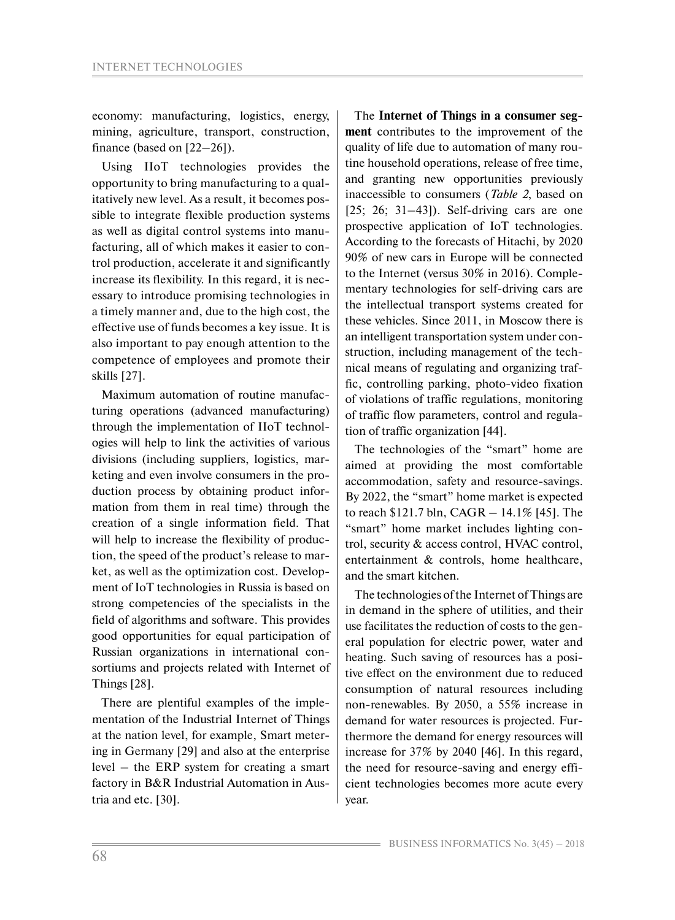economy: manufacturing, logistics, energy, mining, agriculture, transport, construction, finance (based on [22–26]).

Using IIoT technologies provides the opportunity to bring manufacturing to a qualitatively new level. As a result, it becomes possible to integrate flexible production systems as well as digital control systems into manufacturing, all of which makes it easier to control production, accelerate it and significantly increase its flexibility. In this regard, it is necessary to introduce promising technologies in a timely manner and, due to the high cost, the effective use of funds becomes a key issue. It is also important to pay enough attention to the competence of employees and promote their skills [27].

Maximum automation of routine manufacturing operations (advanced manufacturing) through the implementation of IIoT technologies will help to link the activities of various divisions (including suppliers, logistics, marketing and even involve consumers in the production process by obtaining product information from them in real time) through the creation of a single information field. That will help to increase the flexibility of production, the speed of the product's release to market, as well as the optimization cost. Development of IoT technologies in Russia is based on strong competencies of the specialists in the field of algorithms and software. This provides good opportunities for equal participation of Russian organizations in international consortiums and projects related with Internet of Things [28].

There are plentiful examples of the implementation of the Industrial Internet of Things at the nation level, for example, Smart metering in Germany [29] and also at the enterprise level – the ERP system for creating a smart factory in B&R Industrial Automation in Austria and etc. [30].

The **Internet of Things in a consumer segment** contributes to the improvement of the quality of life due to automation of many routine household operations, release of free time, and granting new opportunities previously inaccessible to consumers (*Table 2*, based on  $[25; 26; 31-43]$ . Self-driving cars are one prospective application of IoT technologies. According to the forecasts of Hitachi, by 2020 90% of new cars in Europe will be connected to the Internet (versus 30% in 2016). Complementary technologies for self-driving cars are the intellectual transport systems created for these vehicles. Since 2011, in Moscow there is an intelligent transportation system under construction, including management of the technical means of regulating and organizing traffic, controlling parking, photo-video fixation of violations of traffic regulations, monitoring of traffic flow parameters, control and regulation of traffic organization [44].

The technologies of the "smart" home are aimed at providing the most comfortable accommodation, safety and resource-savings. By 2022, the "smart" home market is expected to reach \$121.7 bln, CAGR – 14.1% [45]. The "smart" home market includes lighting control, security & access control, HVAC control, entertainment & controls, home healthcare, and the smart kitchen.

The technologies of the Internet of Things are in demand in the sphere of utilities, and their use facilitates the reduction of costs to the general population for electric power, water and heating. Such saving of resources has a positive effect on the environment due to reduced consumption of natural resources including non-renewables. By 2050, a 55% increase in demand for water resources is projected. Furthermore the demand for energy resources will increase for 37% by 2040 [46]. In this regard, the need for resource-saving and energy efficient technologies becomes more acute every year.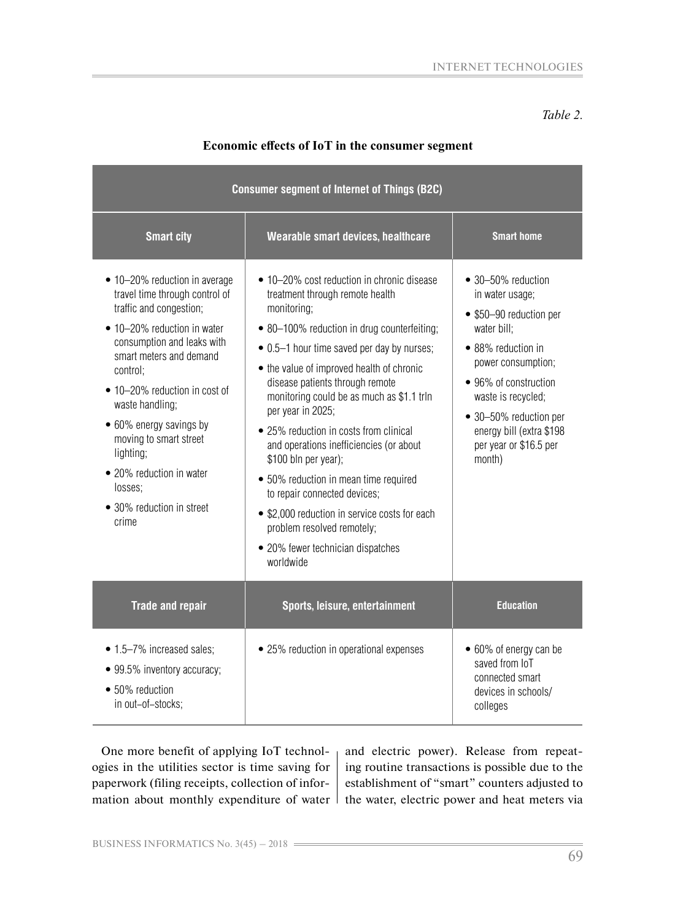*Table 2.* 

| <b>Consumer segment of Internet of Things (B2C)</b>                                                                                                                                                                                                                                                                                                                                               |                                                                                                                                                                                                                                                                                                                                                                                                                                                                                                                                                                                                                                                                    |                                                                                                                                                                                                                                                                      |  |  |
|---------------------------------------------------------------------------------------------------------------------------------------------------------------------------------------------------------------------------------------------------------------------------------------------------------------------------------------------------------------------------------------------------|--------------------------------------------------------------------------------------------------------------------------------------------------------------------------------------------------------------------------------------------------------------------------------------------------------------------------------------------------------------------------------------------------------------------------------------------------------------------------------------------------------------------------------------------------------------------------------------------------------------------------------------------------------------------|----------------------------------------------------------------------------------------------------------------------------------------------------------------------------------------------------------------------------------------------------------------------|--|--|
| <b>Smart city</b>                                                                                                                                                                                                                                                                                                                                                                                 | Wearable smart devices, healthcare                                                                                                                                                                                                                                                                                                                                                                                                                                                                                                                                                                                                                                 | <b>Smart home</b>                                                                                                                                                                                                                                                    |  |  |
| • 10–20% reduction in average<br>travel time through control of<br>traffic and congestion;<br>• 10-20% reduction in water<br>consumption and leaks with<br>smart meters and demand<br>control;<br>• 10-20% reduction in cost of<br>waste handling;<br>• 60% energy savings by<br>moving to smart street<br>lighting;<br>• 20% reduction in water<br>losses;<br>• 30% reduction in street<br>crime | • 10–20% cost reduction in chronic disease<br>treatment through remote health<br>monitoring;<br>• 80-100% reduction in drug counterfeiting;<br>• 0.5–1 hour time saved per day by nurses;<br>• the value of improved health of chronic<br>disease patients through remote<br>monitoring could be as much as \$1.1 trln<br>per year in 2025;<br>• 25% reduction in costs from clinical<br>and operations inefficiencies (or about<br>\$100 bln per year);<br>• 50% reduction in mean time required<br>to repair connected devices;<br>• \$2,000 reduction in service costs for each<br>problem resolved remotely;<br>• 20% fewer technician dispatches<br>worldwide | • 30-50% reduction<br>in water usage;<br>• \$50-90 reduction per<br>water bill:<br>• 88% reduction in<br>power consumption;<br>• 96% of construction<br>waste is recycled;<br>• 30-50% reduction per<br>energy bill (extra \$198<br>per year or \$16.5 per<br>month) |  |  |
| <b>Trade and repair</b>                                                                                                                                                                                                                                                                                                                                                                           | Sports, leisure, entertainment                                                                                                                                                                                                                                                                                                                                                                                                                                                                                                                                                                                                                                     | <b>Education</b>                                                                                                                                                                                                                                                     |  |  |
| • 1.5-7% increased sales;<br>• 99.5% inventory accuracy;<br>• 50% reduction<br>in out-of-stocks;                                                                                                                                                                                                                                                                                                  | • 25% reduction in operational expenses                                                                                                                                                                                                                                                                                                                                                                                                                                                                                                                                                                                                                            | • 60% of energy can be<br>saved from IoT<br>connected smart<br>devices in schools/<br>colleges                                                                                                                                                                       |  |  |

# Economic effects of IoT in the consumer segment

One more benefit of applying IoT technologies in the utilities sector is time saving for paperwork (filing receipts, collection of information about monthly expenditure of water  $\vert$  the water, electric power and heat meters via

and electric power). Release from repeating routine transactions is possible due to the establishment of "smart" counters adjusted to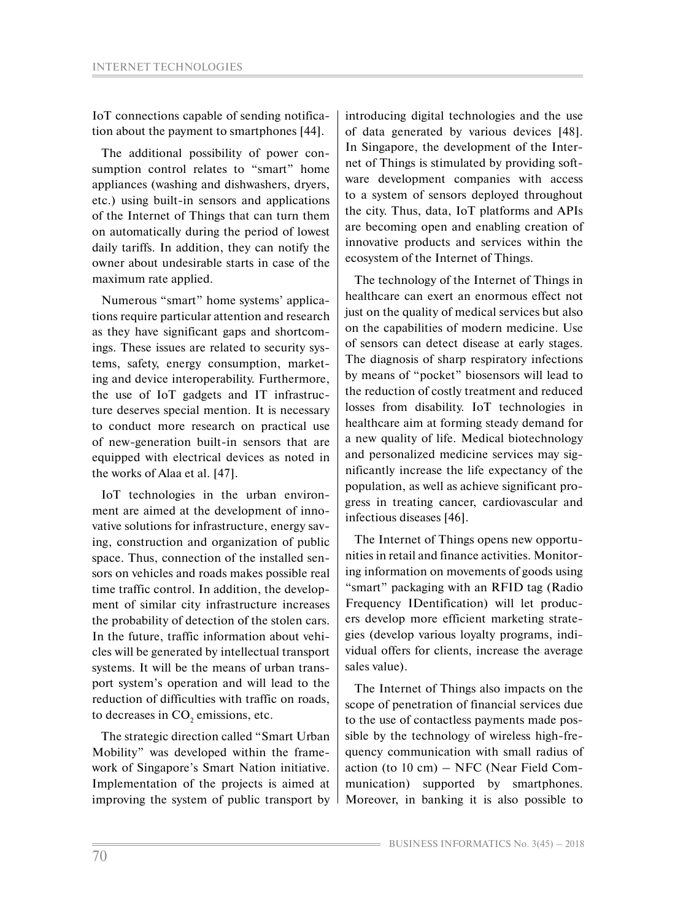IoT connections capable of sending notification about the payment to smartphones [44].

The additional possibility of power consumption control relates to "smart" home appliances (washing and dishwashers, dryers, etc.) using built-in sensors and applications of the Internet of Things that can turn them on automatically during the period of lowest daily tariffs. In addition, they can notify the owner about undesirable starts in case of the maximum rate applied.

Numerous "smart" home systems' applications require particular attention and research as they have significant gaps and shortcomings. These issues are related to security systems, safety, energy consumption, marketing and device interoperability. Furthermore, the use of IoT gadgets and IT infrastructure deserves special mention. It is necessary to conduct more research on practical use of new-generation built-in sensors that are equipped with electrical devices as noted in the works of Alaa et al. [47].

IoT technologies in the urban environment are aimed at the development of innovative solutions for infrastructure, energy saving, construction and organization of public space. Thus, connection of the installed sensors on vehicles and roads makes possible real time traffic control. In addition, the development of similar city infrastructure increases the probability of detection of the stolen cars. In the future, traffic information about vehicles will be generated by intellectual transport systems. It will be the means of urban transport system's operation and will lead to the reduction of difficulties with traffic on roads, to decreases in  $CO<sub>2</sub>$  emissions, etc.

The strategic direction called "Smart Urban Mobility" was developed within the framework of Singapore's Smart Nation initiative. Implementation of the projects is aimed at improving the system of public transport by introducing digital technologies and the use of data generated by various devices [48]. In Singapore, the development of the Internet of Things is stimulated by providing software development companies with access to a system of sensors deployed throughout the city. Thus, data, IoT platforms and APIs are becoming open and enabling creation of innovative products and services within the ecosystem of the Internet of Things.

The technology of the Internet of Things in healthcare can exert an enormous effect not just on the quality of medical services but also on the capabilities of modern medicine. Use of sensors can detect disease at early stages. The diagnosis of sharp respiratory infections by means of "pocket" biosensors will lead to the reduction of costly treatment and reduced losses from disability. IoT technologies in healthcare aim at forming steady demand for a new quality of life. Medical biotechnology and personalized medicine services may significantly increase the life expectancy of the population, as well as achieve significant progress in treating cancer, cardiovascular and infectious diseases [46].

The Internet of Things opens new opportunities in retail and finance activities. Monitoring information on movements of goods using "smart" packaging with an RFID tag (Radio Frequency IDentification) will let producers develop more efficient marketing strategies (develop various loyalty programs, individual offers for clients, increase the average sales value).

The Internet of Things also impacts on the scope of penetration of financial services due to the use of contactless payments made possible by the technology of wireless high-frequency communication with small radius of action (to 10 cm) – NFC (Near Field Communication) supported by smartphones. Moreover, in banking it is also possible to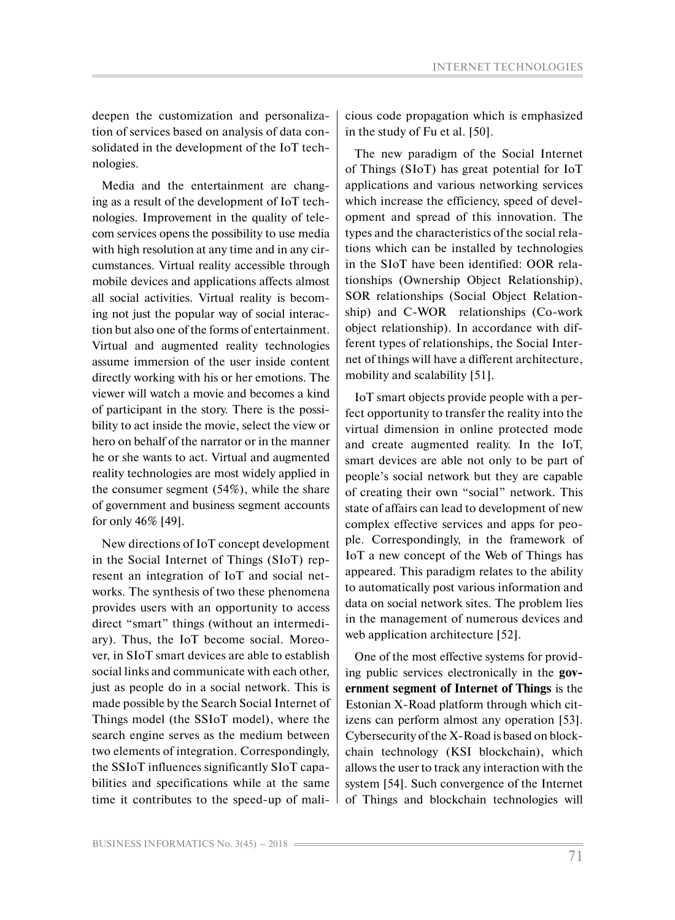INTERNET TECHNOLOGIES

deepen the customization and personalization of services based on analysis of data consolidated in the development of the IoT technologies.

Media and the entertainment are changing as a result of the development of IoT technologies. Improvement in the quality of telecom services opens the possibility to use media with high resolution at any time and in any circumstances. Virtual reality accessible through mobile devices and applications affects almost all social activities. Virtual reality is becoming not just the popular way of social interaction but also one of the forms of entertainment. Virtual and augmented reality technologies assume immersion of the user inside content directly working with his or her emotions. The viewer will watch a movie and becomes a kind of participant in the story. There is the possibility to act inside the movie, select the view or hero on behalf of the narrator or in the manner he or she wants to act. Virtual and augmented reality technologies are most widely applied in the consumer segment (54%), while the share of government and business segment accounts for only 46% [49].

New directions of IoT concept development in the Social Internet of Things (SIoT) represent an integration of IoT and social networks. The synthesis of two these phenomena provides users with an opportunity to access direct "smart" things (without an intermediary). Thus, the IoT become social. Moreover, in SIoT smart devices are able to establish social links and communicate with each other, just as people do in a social network. This is made possible by the Search Social Internet of Things model (the SSIoT model), where the search engine serves as the medium between two elements of integration. Correspondingly, the SSIoT influences significantly SIoT capabilities and specifications while at the same time it contributes to the speed-up of malicious code propagation which is emphasized in the study of Fu et al. [50].

The new paradigm of the Social Internet of Things (SIoT) has great potential for IoT applications and various networking services which increase the efficiency, speed of development and spread of this innovation. The types and the characteristics of the social relations which can be installed by technologies in the SIoT have been identified: OOR relationships (Ownership Object Relationship), SOR relationships (Social Object Relationship) and C-WOR relationships (Co-work object relationship). In accordance with different types of relationships, the Social Internet of things will have a different architecture, mobility and scalability [51].

IoT smart objects provide people with a perfect opportunity to transfer the reality into the virtual dimension in online protected mode and create augmented reality. In the IoT, smart devices are able not only to be part of people's social network but they are capable of creating their own "social" network. This state of affairs can lead to development of new complex effective services and apps for people. Correspondingly, in the framework of IoT a new concept of the Web of Things has appeared. This paradigm relates to the ability to automatically post various information and data on social network sites. The problem lies in the management of numerous devices and web application architecture [52].

One of the most effective systems for providing public services electronically in the **government segment of Internet of Things** is the Estonian X-Road platform through which citizens can perform almost any operation [53]. Cybersecurity of the X-Road is based on blockchain technology (KSI blockchain), which allows the user to track any interaction with the system [54]. Such convergence of the Internet of Things and blockchain technologies will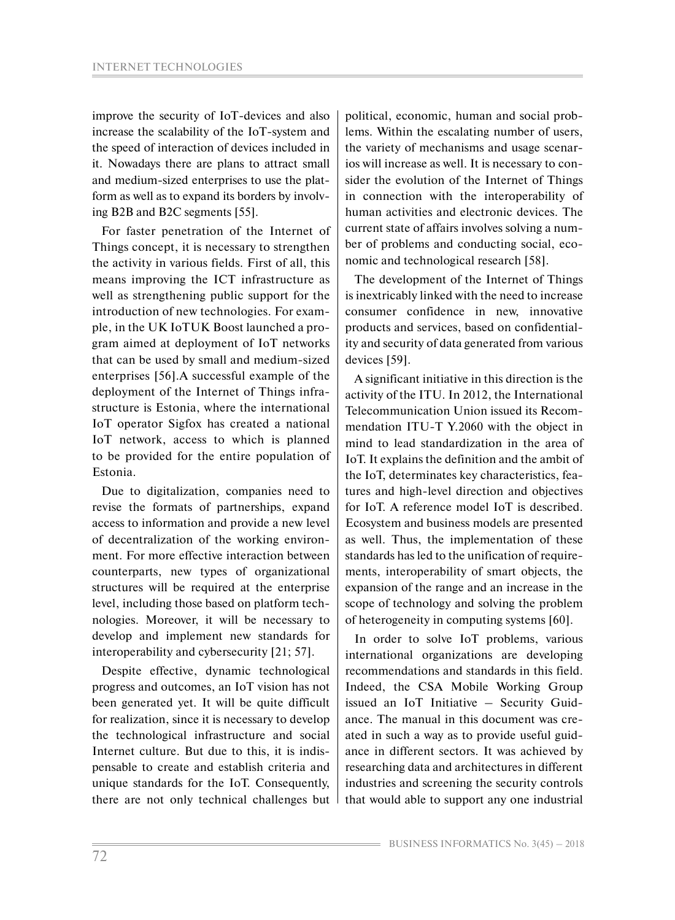improve the security of IoT-devices and also increase the scalability of the IoT-system and the speed of interaction of devices included in it. Nowadays there are plans to attract small and medium-sized enterprises to use the platform as well as to expand its borders by involving B2B and B2C segments [55].

For faster penetration of the Internet of Things concept, it is necessary to strengthen the activity in various fields. First of all, this means improving the ICT infrastructure as well as strengthening public support for the introduction of new technologies. For example, in the UK IoTUK Boost launched a program aimed at deployment of IoT networks that can be used by small and medium-sized enterprises [56].A successful example of the deployment of the Internet of Things infrastructure is Estonia, where the international IoT operator Sigfox has created a national IoT network, access to which is planned to be provided for the entire population of Estonia.

Due to digitalization, companies need to revise the formats of partnerships, expand access to information and provide a new level of decentralization of the working environment. For more effective interaction between counterparts, new types of organizational structures will be required at the enterprise level, including those based on platform technologies. Moreover, it will be necessary to develop and implement new standards for interoperability and cybersecurity [21; 57].

Despite effective, dynamic technological progress and outcomes, an IoT vision has not been generated yet. It will be quite difficult for realization, since it is necessary to develop the technological infrastructure and social Internet culture. But due to this, it is indispensable to create and establish criteria and unique standards for the IoT. Consequently, there are not only technical challenges but political, economic, human and social problems. Within the escalating number of users, the variety of mechanisms and usage scenarios will increase as well. It is necessary to consider the evolution of the Internet of Things in connection with the interoperability of human activities and electronic devices. The current state of affairs involves solving a number of problems and conducting social, economic and technological research [58].

The development of the Internet of Things is inextricably linked with the need to increase consumer confidence in new, innovative products and services, based on confidentiality and security of data generated from various devices [59].

A significant initiative in this direction is the activity of the ITU. In 2012, the International Telecommunication Union issued its Recommendation ITU-T Y.2060 with the object in mind to lead standardization in the area of IoT. It explains the definition and the ambit of the IoT, determinates key characteristics, features and high-level direction and objectives for IoT. A reference model IoT is described. Ecosystem and business models are presented as well. Thus, the implementation of these standards has led to the unification of requirements, interoperability of smart objects, the expansion of the range and an increase in the scope of technology and solving the problem of heterogeneity in computing systems [60].

In order to solve IoT problems, various international organizations are developing recommendations and standards in this field. Indeed, the CSA Mobile Working Group issued an IoT Initiative – Security Guidance. The manual in this document was created in such a way as to provide useful guidance in different sectors. It was achieved by researching data and architectures in different industries and screening the security controls that would able to support any one industrial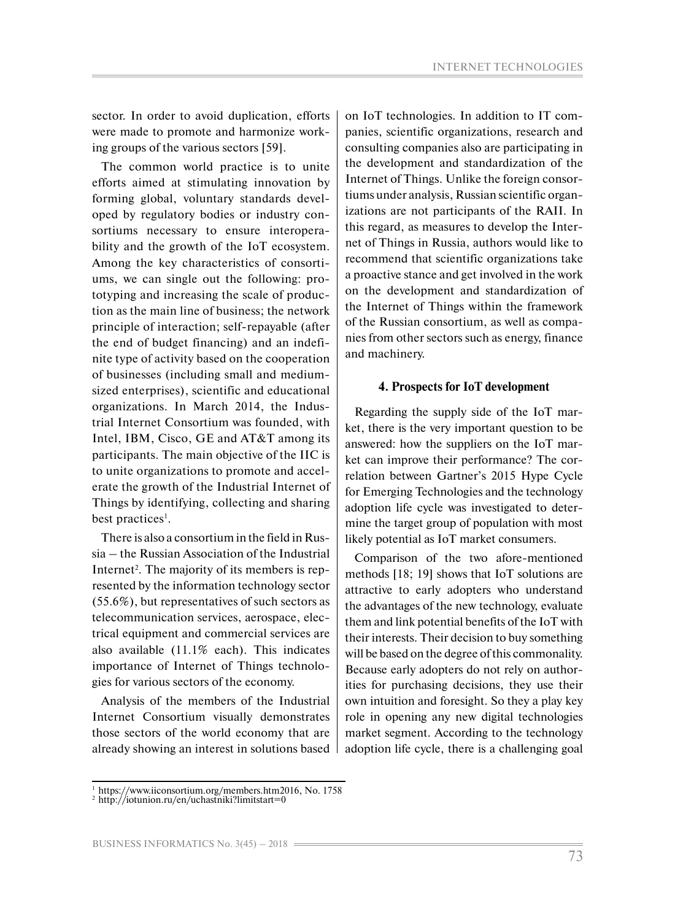sector. In order to avoid duplication, efforts were made to promote and harmonize working groups of the various sectors [59].

The common world practice is to unite efforts aimed at stimulating innovation by forming global, voluntary standards developed by regulatory bodies or industry consortiums necessary to ensure interoperability and the growth of the IoT ecosystem. Among the key characteristics of consortiums, we can single out the following: prototyping and increasing the scale of production as the main line of business; the network principle of interaction; self-repayable (after the end of budget financing) and an indefinite type of activity based on the cooperation of businesses (including small and mediumsized enterprises), scientific and educational organizations. In March 2014, the Industrial Internet Consortium was founded, with Intel, IBM, Cisco, GE and AT&T among its participants. The main objective of the IIC is to unite organizations to promote and accelerate the growth of the Industrial Internet of Things by identifying, collecting and sharing best practices<sup>1</sup>.

There is also a consortium in the field in Russia – the Russian Association of the Industrial Internet<sup>2</sup>. The majority of its members is represented by the information technology sector (55.6%), but representatives of such sectors as telecommunication services, aerospace, electrical equipment and commercial services are also available (11.1% each). This indicates importance of Internet of Things technologies for various sectors of the economy.

Analysis of the members of the Industrial Internet Consortium visually demonstrates those sectors of the world economy that are already showing an interest in solutions based on IoT technologies. In addition to IT companies, scientific organizations, research and consulting companies also are participating in the development and standardization of the Internet of Things. Unlike the foreign consortiums under analysis, Russian scientific organizations are not participants of the RAII. In this regard, as measures to develop the Internet of Things in Russia, authors would like to recommend that scientific organizations take a proactive stance and get involved in the work on the development and standardization of the Internet of Things within the framework of the Russian consortium, as well as companies from other sectors such as energy, finance and machinery.

#### **4. Prospects for IoT development**

Regarding the supply side of the IoT market, there is the very important question to be answered: how the suppliers on the IoT market can improve their performance? The correlation between Gartner's 2015 Hype Cycle for Emerging Technologies and the technology adoption life cycle was investigated to determine the target group of population with most likely potential as IoT market consumers.

Comparison of the two afore-mentioned methods [18; 19] shows that IoT solutions are attractive to early adopters who understand the advantages of the new technology, evaluate them and link potential benefits of the IoT with their interests. Their decision to buy something will be based on the degree of this commonality. Because early adopters do not rely on authorities for purchasing decisions, they use their own intuition and foresight. So they a play key role in opening any new digital technologies market segment. According to the technology adoption life cycle, there is a challenging goal

<sup>1</sup> https://www.iiconsortium.org/members.htm2016, No. 1758

 $2 \text{ http://iotunion.ru/en/uchastniki?limitstart=0}$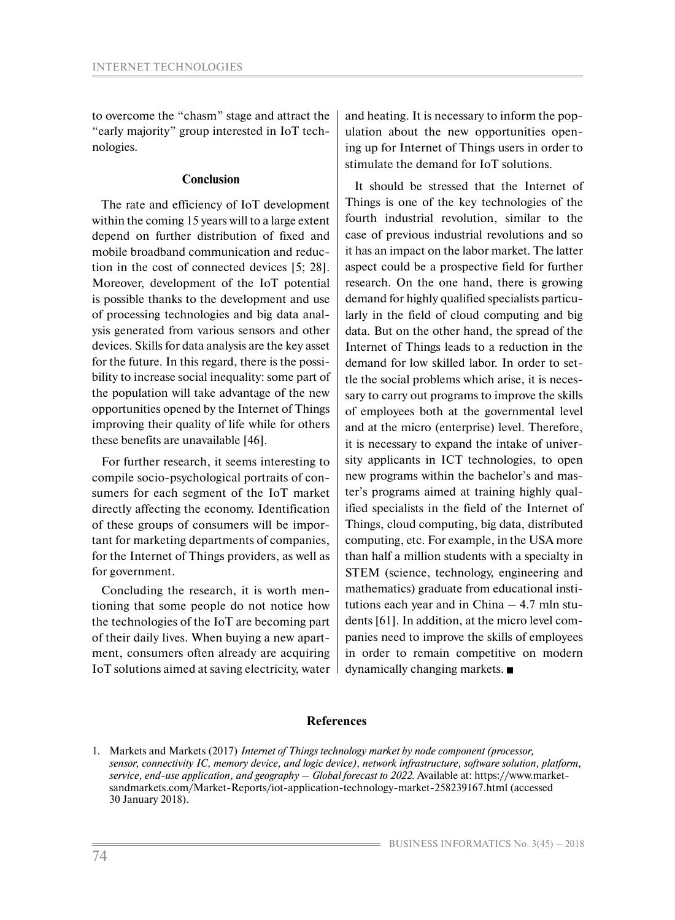to overcome the "chasm" stage and attract the "early majority" group interested in IoT technologies.

### **Conclusion**

The rate and efficiency of IoT development within the coming 15 years will to a large extent depend on further distribution of fixed and mobile broadband communication and reduction in the cost of connected devices [5; 28]. Moreover, development of the IoT potential is possible thanks to the development and use of processing technologies and big data analysis generated from various sensors and other devices. Skills for data analysis are the key asset for the future. In this regard, there is the possibility to increase social inequality: some part of the population will take advantage of the new opportunities opened by the Internet of Things improving their quality of life while for others these benefits are unavailable [46].

For further research, it seems interesting to compile socio-psychological portraits of consumers for each segment of the IoT market directly affecting the economy. Identification of these groups of consumers will be important for marketing departments of companies, for the Internet of Things providers, as well as for government.

Concluding the research, it is worth mentioning that some people do not notice how the technologies of the IoT are becoming part of their daily lives. When buying a new apartment, consumers often already are acquiring IoT solutions aimed at saving electricity, water and heating. It is necessary to inform the population about the new opportunities opening up for Internet of Things users in order to stimulate the demand for IoT solutions.

It should be stressed that the Internet of Things is one of the key technologies of the fourth industrial revolution, similar to the case of previous industrial revolutions and so it has an impact on the labor market. The latter aspect could be a prospective field for further research. On the one hand, there is growing demand for highly qualified specialists particularly in the field of cloud computing and big data. But on the other hand, the spread of the Internet of Things leads to a reduction in the demand for low skilled labor. In order to settle the social problems which arise, it is necessary to carry out programs to improve the skills of employees both at the governmental level and at the micro (enterprise) level. Therefore, it is necessary to expand the intake of university applicants in ICT technologies, to open new programs within the bachelor's and master's programs aimed at training highly qualified specialists in the field of the Internet of Things, cloud computing, big data, distributed computing, etc. For example, in the USA more than half a million students with a specialty in STEM (science, technology, engineering and mathematics) graduate from educational institutions each year and in China – 4.7 mln students [61]. In addition, at the micro level companies need to improve the skills of employees in order to remain competitive on modern dynamically changing markets.

#### **References**

<sup>1.</sup> Markets and Markets (2017) *Internet of Things technology market by node component (processor, sensor, connectivity IC, memory device, and logic device), network infrastructure, software solution, platform, service, end-use application, and geography – Global forecast to 2022.* Available at: https://www.marketsandmarkets.com/Market-Reports/iot-application-technology-market-258239167.html (accessed 30 January 2018).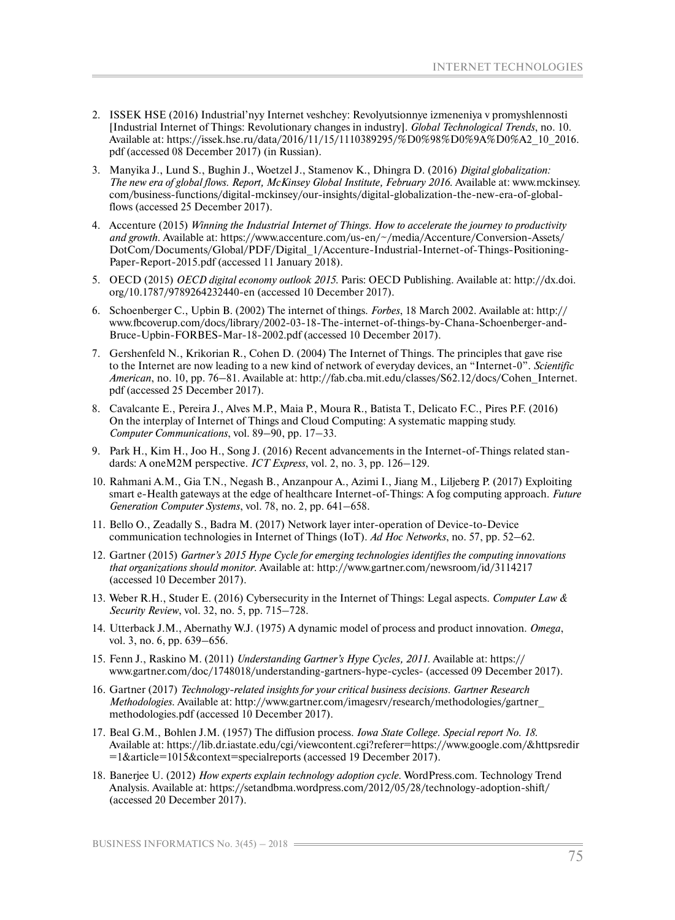- 2. ISSEK HSE (2016) Industrial'nyy Internet veshchey: Revolyutsionnye izmeneniya v promyshlennosti [Industrial Internet of Things: Revolutionary changes in industry]. *Global Technological Trends*, no. 10. Available at: https://issek.hse.ru/data/2016/11/15/1110389295/%D0%98%D0%9A%D0%A2\_10\_2016. pdf (accessed 08 December 2017) (in Russian).
- 3. Manyika J., Lund S., Bughin J., Woetzel J., Stamenov K., Dhingra D. (2016) *Digital globalization: The new era of global flows. Report, McKinsey Global Institute, February 2016.* Available at: www.mckinsey. com/business-functions/digital-mckinsey/our-insights/digital-globalization-the-new-era-of-globalflows (accessed 25 December 2017).
- 4. Accenture (2015) *Winning the Industrial Internet of Things. How to accelerate the journey to productivity and growth.* Available at: https://www.accenture.com/us-en/~/media/Accenture/Conversion-Assets/ DotCom/Documents/Global/PDF/Digital\_1/Accenture-Industrial-Internet-of-Things-Positioning-Paper-Report-2015.pdf (accessed 11 January 2018).
- 5. OECD (2015) *OECD digital economy outlook 2015*. Paris: OECD Publishing. Available at: http://dx.doi. org/10.1787/9789264232440-en (accessed 10 December 2017).
- 6. Schoenberger C., Upbin B. (2002) The internet of things. *Forbes*, 18 March 2002. Available at: http:// www.fbcoverup.com/docs/library/2002-03-18-The-internet-of-things-by-Chana-Schoenberger-and-Bruce-Upbin-FORBES-Mar-18-2002.pdf (accessed 10 December 2017).
- 7. Gershenfeld N., Krikorian R., Cohen D. (2004) The Internet of Things. The principles that gave rise to the Internet are now leading to a new kind of network of everyday devices, an "Internet-0". *Scientific American*, no. 10, pp. 76–81. Available at: http://fab.cba.mit.edu/classes/S62.12/docs/Cohen\_Internet. pdf (accessed 25 December 2017).
- 8. Cavalcante E., Pereira J., Alves M.P., Maia P., Moura R., Batista T., Delicato F.C., Pires P.F. (2016) On the interplay of Internet of Things and Cloud Computing: A systematic mapping study. *Computer Communications*, vol. 89–90, pp. 17–33.
- 9. Park H., Kim H., Joo H., Song J. (2016) Recent advancements in the Internet-of-Things related standards: A oneM2M perspective. *ICT Express*, vol. 2, no. 3, pp. 126–129.
- 10. Rahmani A.M., Gia T.N., Negash B., Anzanpour A., Azimi I., Jiang M., Liljeberg P. (2017) Exploiting smart e-Health gateways at the edge of healthcare Internet-of-Things: A fog computing approach. *Future Generation Computer Systems*, vol. 78, no. 2, pp. 641–658.
- 11. Bello O., Zeadally S., Badra M. (2017) Network layer inter-operation of Device-to-Device communication technologies in Internet of Things (IoT). *Ad Hoc Networks*, no. 57, pp. 52–62.
- 12. Gartner (2015) *Gartner's 2015 Hype Cycle for emerging technologies identifies the computing innovations that organizations should monitor*. Available at: http://www.gartner.com/newsroom/id/3114217 (accessed 10 December 2017).
- 13. Weber R.H., Studer E. (2016) Cybersecurity in the Internet of Things: Legal aspects. *Computer Law & Security Review*, vol. 32, no. 5, pp. 715–728.
- 14. Utterback J.M., Abernathy W.J. (1975) A dynamic model of process and product innovation. *Omega*, vol. 3, no. 6, pp. 639–656.
- 15. Fenn J., Raskino M. (2011) *Understanding Gartner's Hype Cycles, 2011*. Available at: https:// www.gartner.com/doc/1748018/understanding-gartners-hype-cycles- (accessed 09 December 2017).
- 16. Gartner (2017) *Technology-related insights for your critical business decisions. Gartner Research Methodologies*. Available at: http://www.gartner.com/imagesrv/research/methodologies/gartner\_ methodologies.pdf (accessed 10 December 2017).
- 17. Beal G.M., Bohlen J.M. (1957) The diffusion process. *Iowa State College. Special report No. 18.* Available at: https://lib.dr.iastate.edu/cgi/viewcontent.cgi?referer=https://www.google.com/&httpsredir =1&article=1015&context=specialreports (accessed 19 December 2017).
- 18. Banerjee U. (2012) *How experts explain technology adoption cycle.* WordPress.com. Technology Trend Analysis. Available at: https://setandbma.wordpress.com/2012/05/28/technology-adoption-shift/ (accessed 20 December 2017).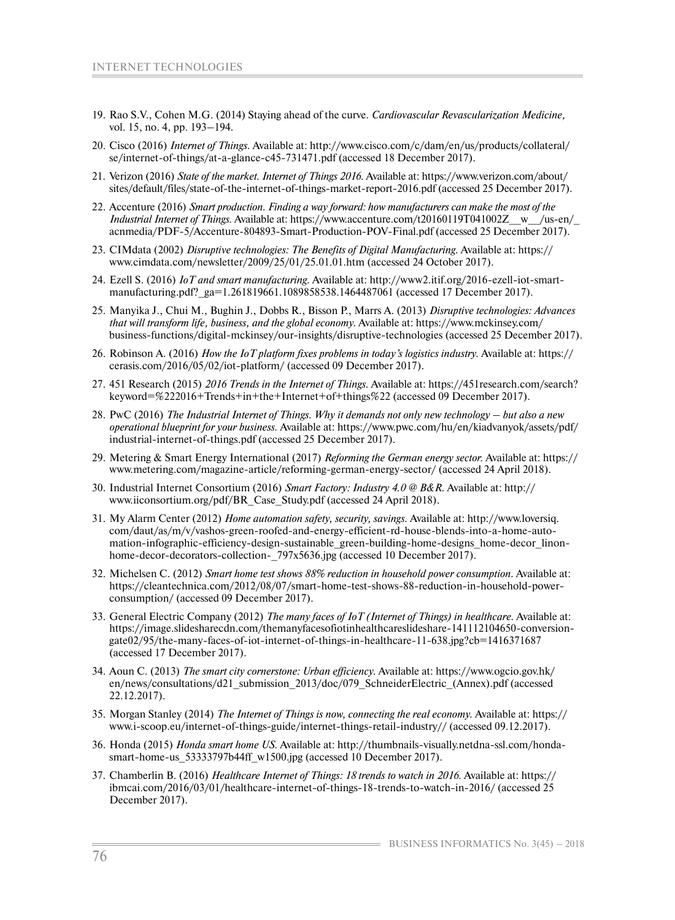- 19. Rao S.V., Cohen M.G. (2014) Staying ahead of the curve. *Cardiovascular Revascularization Medicine,* vol. 15, no. 4, pp. 193–194.
- 20. Cisco (2016) *Internet of Things.* Available at: http://www.cisco.com/c/dam/en/us/products/collateral/ se/internet-of-things/at-a-glance-c45-731471.pdf (accessed 18 December 2017).
- 21. Verizon (2016) *State of the market. Internet of Things 2016.* Available at: https://www.verizon.com/about/ sites/default/files/state-of-the-internet-of-things-market-report-2016.pdf (accessed 25 December 2017).
- 22. Accenture (2016) *Smart production. Finding a way forward: how manufacturers can make the most of the Industrial Internet of Things.* Available at: https://www.accenture.com/t20160119T041002Z\_\_w\_\_/us-en/\_ acnmedia/PDF-5/Accenture-804893-Smart-Production-POV-Final.pdf (accessed 25 December 2017).
- 23. CIMdata (2002) *Disruptive technologies: The Benefits of Digital Manufacturing.* Available at: https:// www.cimdata.com/newsletter/2009/25/01/25.01.01.htm (accessed 24 October 2017).
- 24. Ezell S. (2016) *IoT and smart manufacturing.* Available at: http://www2.itif.org/2016-ezell-iot-smartmanufacturing.pdf?\_ga=1.261819661.1089858538.1464487061 (accessed 17 December 2017).
- 25. Manyika J., Chui M., Bughin J., Dobbs R., Bisson P., Marrs A. (2013) *Disruptive technologies: Advances that will transform life, business, and the global economy.* Available at: https://www.mckinsey.com/ business-functions/digital-mckinsey/our-insights/disruptive-technologies (accessed 25 December 2017).
- 26. Robinson A. (2016) *How the IoT platform fixes problems in today's logistics industry.* Available at: https:// cerasis.com/2016/05/02/iot-platform/ (accessed 09 December 2017).
- 27. 451 Research (2015) *2016 Trends in the Internet of Things.* Available at: https://451research.com/search? keyword=%222016+Trends+in+the+Internet+of+things%22 (accessed 09 December 2017).
- 28. PwC (2016) *The Industrial Internet of Things. Why it demands not only new technology but also a new operational blueprint for your business.* Available at: https://www.pwc.com/hu/en/kiadvanyok/assets/pdf/ industrial-internet-of-things.pdf (accessed 25 December 2017).
- 29. Metering & Smart Energy International (2017) *Reforming the German energy sector.* Available at: https:// www.metering.com/magazine-article/reforming-german-energy-sector/ (accessed 24 April 2018).
- 30. Industrial Internet Consortium (2016) *Smart Factory: Industry 4.0 @ B&R.* Available at: http:// www.iiconsortium.org/pdf/BR\_Case\_Study.pdf (accessed 24 April 2018).
- 31. My Alarm Center (2012) *Home automation safety, security, savings.* Available at: http://www.loversiq. com/daut/as/m/v/vashos-green-roofed-and-energy-efficient-rd-house-blends-into-a-home-automation-infographic-efficiency-design-sustainable\_green-building-home-designs\_home-decor\_linonhome-decor-decorators-collection-  $797x5636$ .jpg (accessed 10 December 2017).
- 32. Michelsen C. (2012) *Smart home test shows 88% reduction in household power consumption*. Available at: https://cleantechnica.com/2012/08/07/smart-home-test-shows-88-reduction-in-household-powerconsumption/ (accessed 09 December 2017).
- 33. General Electric Company (2012) *The many faces of IoT (Internet of Things) in healthcare.* Available at: https://image.slidesharecdn.com/themanyfacesofiotinhealthcareslideshare-141112104650-conversiongate02/95/the-many-faces-of-iot-internet-of-things-in-healthcare-11-638.jpg?cb=1416371687 (accessed 17 December 2017).
- 34. Aoun C. (2013) *The smart city cornerstone: Urban efficiency.* Available at: https://www.ogcio.gov.hk/ en/news/consultations/d21\_submission\_2013/doc/079\_SchneiderElectric\_(Annex).pdf (accessed 22.12.2017).
- 35. Morgan Stanley (2014) *The Internet of Things is now, connecting the real economy.* Available at: https:// www.i-scoop.eu/internet-of-things-guide/internet-things-retail-industry// (accessed 09.12.2017).
- 36. Honda (2015) *Honda smart home US*. Available at: http://thumbnails-visually.netdna-ssl.com/hondasmart-home-us\_53333797b44ff\_w1500.jpg (accessed 10 December 2017).
- 37. Chamberlin B. (2016) *Healthcare Internet of Things: 18 trends to watch in 2016.* Available at: https:// ibmcai.com/2016/03/01/healthcare-internet-of-things-18-trends-to-watch-in-2016/ (accessed 25 December 2017).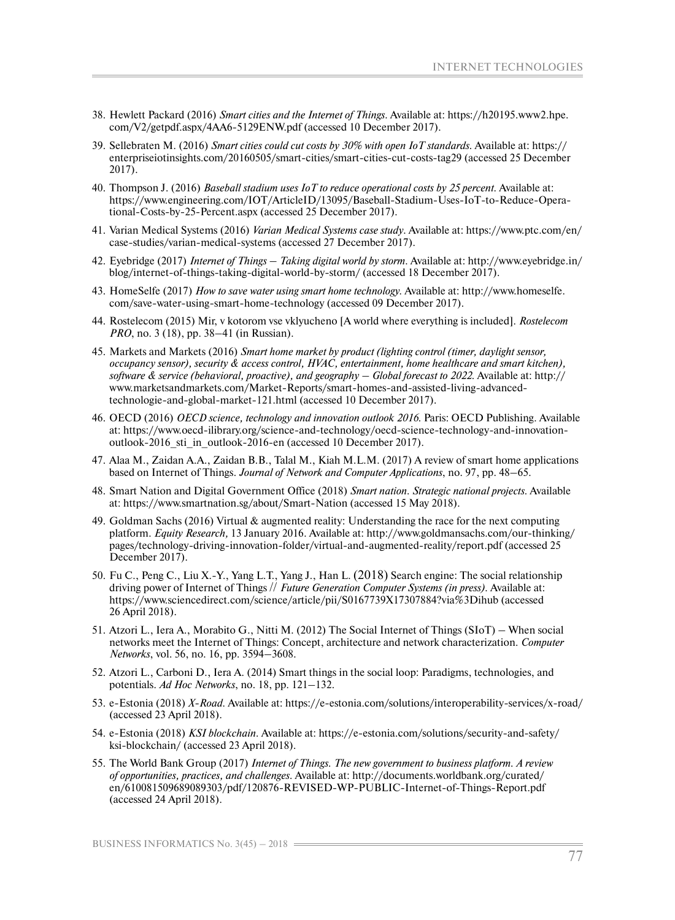- 38. Hewlett Packard (2016) *Smart cities and the Internet of Things.* Available at: https://h20195.www2.hpe. com/V2/getpdf.aspx/4AA6-5129ENW.pdf (accessed 10 December 2017).
- 39. Sellebraten M. (2016) *Smart cities could cut costs by 30% with open IoT standards.* Available at: https:// enterpriseiotinsights.com/20160505/smart-cities/smart-cities-cut-costs-tag29 (accessed 25 December 2017).
- 40. Thompson J. (2016) *Baseball stadium uses IoT to reduce operational costs by 25 percent.* Available at: https://www.engineering.com/IOT/ArticleID/13095/Baseball-Stadium-Uses-IoT-to-Reduce-Operational-Costs-by-25-Percent.aspx (accessed 25 December 2017).
- 41. Varian Medical Systems (2016) *Varian Medical Systems case study*. Available at: https://www.ptc.com/en/ case-studies/varian-medical-systems (accessed 27 December 2017).
- 42. Eyebridge (2017) *Internet of Things Taking digital world by storm.* Available at: http://www.eyebridge.in/ blog/internet-of-things-taking-digital-world-by-storm/ (accessed 18 December 2017).
- 43. HomeSelfe (2017) *How to save water using smart home technology.* Available at: http://www.homeselfe. com/save-water-using-smart-home-technology (accessed 09 December 2017).
- 44. Rostelecom (2015) Mir, v kotorom vse vklyucheno [A world where everything is included]. *Rostelecom PRO*, no. 3 (18), pp. 38–41 (in Russian).
- 45. Markets and Markets (2016) *Smart home market by product (lighting control (timer, daylight sensor, occupancy sensor), security & access control, HVAC, entertainment, home healthcare and smart kitchen), software & service (behavioral, proactive), and geography – Global forecast to 2022.* Available at: http:// www.marketsandmarkets.com/Market-Reports/smart-homes-and-assisted-living-advancedtechnologie-and-global-market-121.html (accessed 10 December 2017).
- 46. OECD (2016) *OECD science, technology and innovation outlook 2016.* Paris: OECD Publishing. Available at: https://www.oecd-ilibrary.org/science-and-technology/oecd-science-technology-and-innovationoutlook-2016\_sti\_in\_outlook-2016-en (accessed 10 December 2017).
- 47. Alaa M., Zaidan A.A., Zaidan B.B., Talal M., Kiah M.L.M. (2017) A review of smart home applications based on Internet of Things. *Journal of Network and Computer Applications*, no. 97, pp. 48–65.
- 48. Smart Nation and Digital Government Office (2018) *Smart nation. Strategic national projects.* Available at: https://www.smartnation.sg/about/Smart-Nation (accessed 15 May 2018).
- 49. Goldman Sachs (2016) Virtual & augmented reality: Understanding the race for the next computing platform. *Equity Research,* 13 January 2016. Available at: http://www.goldmansachs.com/our-thinking/ pages/technology-driving-innovation-folder/virtual-and-augmented-reality/report.pdf (accessed 25 December 2017).
- 50. Fu C., Peng C., Liu X.-Y., Yang L.T., Yang J., Han L. (2018) Search engine: The social relationship driving power of Internet of Things // *Future Generation Computer Systems (in press).* Available at: https://www.sciencedirect.com/science/article/pii/S0167739X17307884?via%3Dihub (accessed 26 April 2018).
- 51. Atzori L., Iera A., Morabito G., Nitti M. (2012) The Social Internet of Things (SIoT) When social networks meet the Internet of Things: Concept, architecture and network characterization. *Computer Networks*, vol. 56, no. 16, pp. 3594–3608.
- 52. Atzori L., Carboni D., Iera A. (2014) Smart things in the social loop: Paradigms, technologies, and potentials. *Ad Hoc Networks*, no. 18, pp. 121–132.
- 53. e-Estonia (2018) *X-Road.* Available at: https://e-estonia.com/solutions/interoperability-services/x-road/ (accessed 23 April 2018).
- 54. e-Estonia (2018) *KSI blockchain.* Available at: https://e-estonia.com/solutions/security-and-safety/ ksi-blockchain/ (accessed 23 April 2018).
- 55. The World Bank Group (2017) *Internet of Things. The new government to business platform. A review of opportunities, practices, and challenges.* Available at: http://documents.worldbank.org/curated/ en/610081509689089303/pdf/120876-REVISED-WP-PUBLIC-Internet-of-Things-Report.pdf (accessed 24 April 2018).